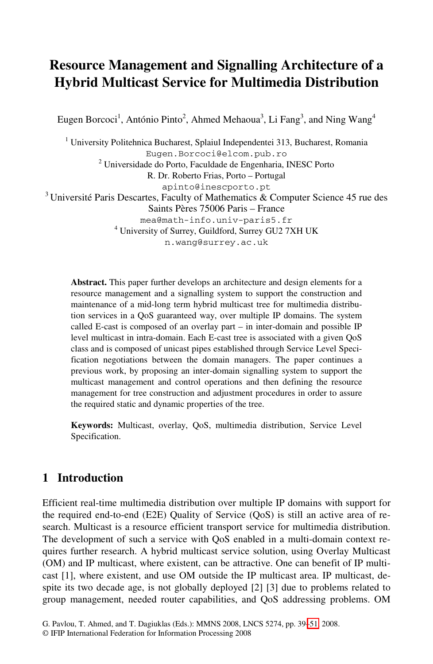# **Resource Management and Signalling Architecture of a Hybrid Multicast Service for Multimedia Distribution**

Eugen Borcoci<sup>1</sup>, António Pinto<sup>2</sup>, Ahmed Mehaoua<sup>3</sup>, Li Fang<sup>3</sup>, and Ning Wang<sup>4</sup>

<sup>1</sup> University Politehnica Bucharest, Splaiul Independentei 313, Bucharest, Romania Eugen.Borcoci@elcom.pub.ro <sup>2</sup> Universidade do Porto, Faculdade de Engenharia, INESC Porto R. Dr. Roberto Frias, Porto – Portugal apinto@inescporto.pt 3 Université Paris Descartes, Faculty of Mathematics & Computer Science 45 rue des Saints Pères 75006 Paris – France mea@math-info.univ-paris5.fr 4 University of Surrey, Guildford, Surrey GU2 7XH UK n.wang@surrey.ac.uk

**Abstract.** This paper further develops an architecture and design elements for a resource management and a signalling system to support the construction and maintenance of a mid-long term hybrid multicast tree for multimedia distribution services in a QoS guaranteed way, over multiple IP domains. The system called E-cast is composed of an overlay part – in inter-domain and possible IP level multicast in intra-domain. Each E-cast tree is associated with a given QoS class and is composed of unicast pipes established through Service Level Specification negotiations between the domain managers. The paper continues a previous work, by proposing an inter-domain signalling system to support the multicast management and control operations and then defining the resource management for tree construction and adjustment procedures in order to assure the required static and dynamic properties of the tree.

**Keywords:** Multicast, overlay, QoS, multimedia distribution, Service Level Specification.

## **1 Introduction**

Efficient real-time multimedia distribution over multiple IP domains with support for the required end-to-end (E2E) Quality of Service (QoS) is still an active area of research. Multicast is a resource efficient tran[spo](#page-12-0)rt service for multimedia distribution. The development of such a service with QoS enabled in a multi-domain context requires further research. A hybrid multicast service solution, using Overlay Multicast (OM) and IP multicast, where existent, can be attractive. One can benefit of IP multicast [1], where existent, and use OM outside the IP multicast area. IP multicast, despite its two decade age, is not globally deployed [2] [3] due to problems related to group management, needed router capabilities, and QoS addressing problems. OM

G. Pavlou, T. Ahmed, and T. Dagiuklas (Eds.): MMNS 2008, LNCS 5274, pp. 39–51, 2008.

<sup>©</sup> IFIP International Federation for Information Processing 2008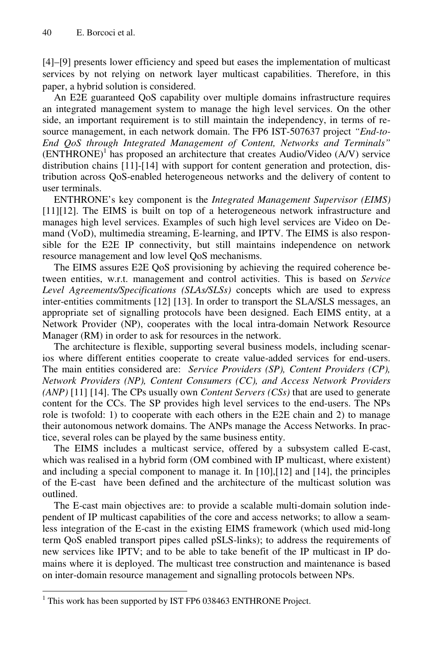[4]–[9] presents lower efficiency and speed but eases the implementation of multicast services by not relying on network layer multicast capabilities. Therefore, in this paper, a hybrid solution is considered.

An E2E guaranteed QoS capability over multiple domains infrastructure requires an integrated management system to manage the high level services. On the other side, an important requirement is to still maintain the independency, in terms of resource management, in each network domain. The FP6 IST-507637 project *"End-to-End QoS through Integrated Management of Content, Networks and Terminals"*   $(ENTHRONE)^{1}$  has proposed an architecture that creates Audio/Video (A/V) service distribution chains [11]-[14] with support for content generation and protection, distribution across QoS-enabled heterogeneous networks and the delivery of content to user terminals.

ENTHRONE's key component is the *Integrated Management Supervisor (EIMS)*  [11][12]. The EIMS is built on top of a heterogeneous network infrastructure and manages high level services. Examples of such high level services are Video on Demand (VoD), multimedia streaming, E-learning, and IPTV. The EIMS is also responsible for the E2E IP connectivity, but still maintains independence on network resource management and low level QoS mechanisms.

The EIMS assures E2E QoS provisioning by achieving the required coherence between entities, w.r.t. management and control activities. This is based on *Service Level Agreements/Specifications (SLAs/SLSs)* concepts which are used to express inter-entities commitments [12] [13]. In order to transport the SLA/SLS messages, an appropriate set of signalling protocols have been designed. Each EIMS entity, at a Network Provider (NP), cooperates with the local intra-domain Network Resource Manager (RM) in order to ask for resources in the network.

The architecture is flexible, supporting several business models, including scenarios where different entities cooperate to create value-added services for end-users. The main entities considered are: *Service Providers (SP), Content Providers (CP), Network Providers (NP), Content Consumers (CC), and Access Network Providers (ANP)* [11] [14]. The CPs usually own *Content Servers (CSs)* that are used to generate content for the CCs. The SP provides high level services to the end-users. The NPs role is twofold: 1) to cooperate with each others in the E2E chain and 2) to manage their autonomous network domains. The ANPs manage the Access Networks. In practice, several roles can be played by the same business entity.

The EIMS includes a multicast service, offered by a subsystem called E-cast, which was realised in a hybrid form (OM combined with IP multicast, where existent) and including a special component to manage it. In [10],[12] and [14], the principles of the E-cast have been defined and the architecture of the multicast solution was outlined.

The E-cast main objectives are: to provide a scalable multi-domain solution independent of IP multicast capabilities of the core and access networks; to allow a seamless integration of the E-cast in the existing EIMS framework (which used mid-long term QoS enabled transport pipes called pSLS-links); to address the requirements of new services like IPTV; and to be able to take benefit of the IP multicast in IP domains where it is deployed. The multicast tree construction and maintenance is based on inter-domain resource management and signalling protocols between NPs.

l

<sup>&</sup>lt;sup>1</sup> This work has been supported by IST FP6 038463 ENTHRONE Project.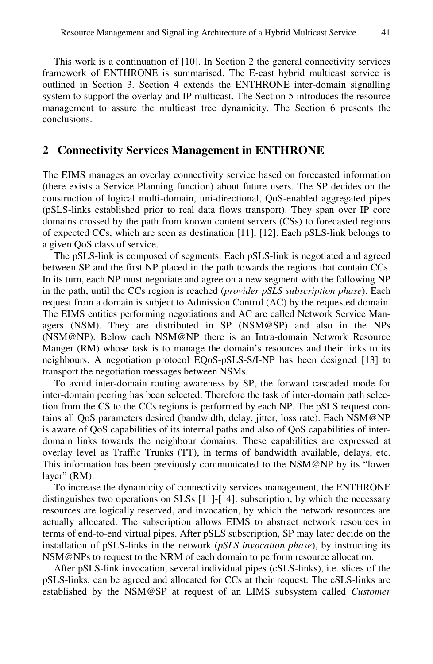This work is a continuation of [10]. In Section 2 the general connectivity services framework of ENTHRONE is summarised. The E-cast hybrid multicast service is outlined in Section 3. Section 4 extends the ENTHRONE inter-domain signalling system to support the overlay and IP multicast. The Section 5 introduces the resource management to assure the multicast tree dynamicity. The Section 6 presents the conclusions.

### **2 Connectivity Services Management in ENTHRONE**

The EIMS manages an overlay connectivity service based on forecasted information (there exists a Service Planning function) about future users. The SP decides on the construction of logical multi-domain, uni-directional, QoS-enabled aggregated pipes (pSLS-links established prior to real data flows transport). They span over IP core domains crossed by the path from known content servers (CSs) to forecasted regions of expected CCs, which are seen as destination [11], [12]. Each pSLS-link belongs to a given QoS class of service.

The pSLS-link is composed of segments. Each pSLS-link is negotiated and agreed between SP and the first NP placed in the path towards the regions that contain CCs. In its turn, each NP must negotiate and agree on a new segment with the following NP in the path, until the CCs region is reached (*provider pSLS subscription phase*). Each request from a domain is subject to Admission Control (AC) by the requested domain. The EIMS entities performing negotiations and AC are called Network Service Managers (NSM). They are distributed in SP (NSM@SP) and also in the NPs (NSM@NP). Below each NSM@NP there is an Intra-domain Network Resource Manger (RM) whose task is to manage the domain's resources and their links to its neighbours. A negotiation protocol EQoS-pSLS-S/I-NP has been designed [13] to transport the negotiation messages between NSMs.

To avoid inter-domain routing awareness by SP, the forward cascaded mode for inter-domain peering has been selected. Therefore the task of inter-domain path selection from the CS to the CCs regions is performed by each NP. The pSLS request contains all QoS parameters desired (bandwidth, delay, jitter, loss rate). Each NSM@NP is aware of QoS capabilities of its internal paths and also of QoS capabilities of interdomain links towards the neighbour domains. These capabilities are expressed at overlay level as Traffic Trunks (TT), in terms of bandwidth available, delays, etc. This information has been previously communicated to the NSM@NP by its "lower layer" (RM).

To increase the dynamicity of connectivity services management, the ENTHRONE distinguishes two operations on SLSs [11]-[14]: subscription, by which the necessary resources are logically reserved, and invocation, by which the network resources are actually allocated. The subscription allows EIMS to abstract network resources in terms of end-to-end virtual pipes. After pSLS subscription, SP may later decide on the installation of pSLS-links in the network (*pSLS invocation phase*), by instructing its NSM@NPs to request to the NRM of each domain to perform resource allocation.

After pSLS-link invocation, several individual pipes (cSLS-links), i.e. slices of the pSLS-links, can be agreed and allocated for CCs at their request. The cSLS-links are established by the NSM@SP at request of an EIMS subsystem called *Customer*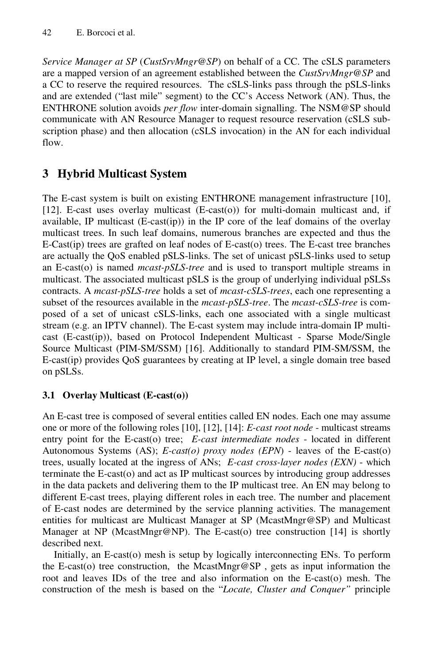*Service Manager at SP* (*CustSrvMngr@SP*) on behalf of a CC. The cSLS parameters are a mapped version of an agreement established between the *CustSrvMngr@SP* and a CC to reserve the required resources. The cSLS-links pass through the pSLS-links and are extended ("last mile" segment) to the CC's Access Network (AN). Thus, the ENTHRONE solution avoids *per flow* inter-domain signalling. The NSM@SP should communicate with AN Resource Manager to request resource reservation (cSLS subscription phase) and then allocation (cSLS invocation) in the AN for each individual flow.

# **3 Hybrid Multicast System**

The E-cast system is built on existing ENTHRONE management infrastructure [10], [12]. E-cast uses overlay multicast (E-cast(o)) for multi-domain multicast and, if available, IP multicast (E-cast(ip)) in the IP core of the leaf domains of the overlay multicast trees. In such leaf domains, numerous branches are expected and thus the E-Cast(ip) trees are grafted on leaf nodes of E-cast(o) trees. The E-cast tree branches are actually the QoS enabled pSLS-links. The set of unicast pSLS-links used to setup an E-cast(o) is named *mcast-pSLS-tree* and is used to transport multiple streams in multicast. The associated multicast pSLS is the group of underlying individual pSLSs contracts. A *mcast-pSLS-tree* holds a set of *mcast-cSLS-trees*, each one representing a subset of the resources available in the *mcast-pSLS-tree*. The *mcast-cSLS-tree* is composed of a set of unicast cSLS-links, each one associated with a single multicast stream (e.g. an IPTV channel). The E-cast system may include intra-domain IP multicast (E-cast(ip)), based on Protocol Independent Multicast - Sparse Mode/Single Source Multicast (PIM-SM/SSM) [16]. Additionally to standard PIM-SM/SSM, the E-cast(ip) provides QoS guarantees by creating at IP level, a single domain tree based on pSLSs.

## **3.1 Overlay Multicast (E-cast(o))**

An E-cast tree is composed of several entities called EN nodes. Each one may assume one or more of the following roles [10], [12], [14]: *E-cast root node* - multicast streams entry point for the E-cast(o) tree; *E-cast intermediate nodes* - located in different Autonomous Systems (AS); *E-cast(o) proxy nodes (EPN*) - leaves of the E-cast(o) trees, usually located at the ingress of ANs; *E-cast cross-layer nodes (EXN)* - which terminate the E-cast(o) and act as IP multicast sources by introducing group addresses in the data packets and delivering them to the IP multicast tree. An EN may belong to different E-cast trees, playing different roles in each tree. The number and placement of E-cast nodes are determined by the service planning activities. The management entities for multicast are Multicast Manager at SP (McastMngr@SP) and Multicast Manager at NP (McastMngr@NP). The E-cast(o) tree construction [14] is shortly described next.

Initially, an E-cast(o) mesh is setup by logically interconnecting ENs. To perform the E-cast(o) tree construction, the McastMngr@SP , gets as input information the root and leaves IDs of the tree and also information on the E-cast(o) mesh. The construction of the mesh is based on the "*Locate, Cluster and Conquer"* principle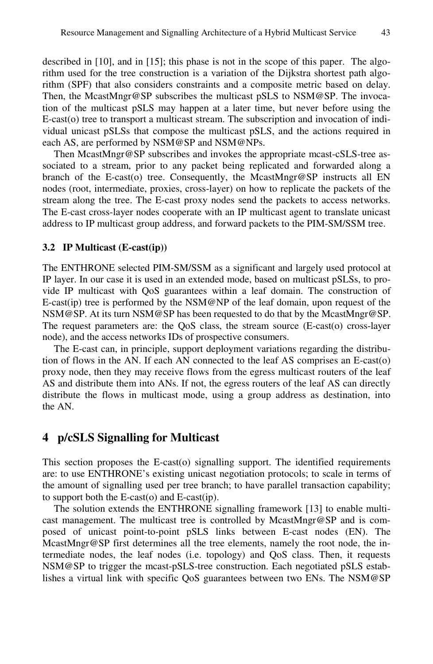described in [10], and in [15]; this phase is not in the scope of this paper.The algorithm used for the tree construction is a variation of the Dijkstra shortest path algorithm (SPF) that also considers constraints and a composite metric based on delay. Then, the McastMngr@SP subscribes the multicast pSLS to NSM@SP. The invocation of the multicast pSLS may happen at a later time, but never before using the E-cast(o) tree to transport a multicast stream. The subscription and invocation of individual unicast pSLSs that compose the multicast pSLS, and the actions required in each AS, are performed by NSM@SP and NSM@NPs.

Then McastMngr@SP subscribes and invokes the appropriate mcast-cSLS-tree associated to a stream, prior to any packet being replicated and forwarded along a branch of the E-cast(o) tree. Consequently, the McastMngr@SP instructs all EN nodes (root, intermediate, proxies, cross-layer) on how to replicate the packets of the stream along the tree. The E-cast proxy nodes send the packets to access networks. The E-cast cross-layer nodes cooperate with an IP multicast agent to translate unicast address to IP multicast group address, and forward packets to the PIM-SM/SSM tree.

#### **3.2 IP Multicast (E-cast(ip))**

The ENTHRONE selected PIM-SM/SSM as a significant and largely used protocol at IP layer. In our case it is used in an extended mode, based on multicast pSLSs, to provide IP multicast with QoS guarantees within a leaf domain. The construction of E-cast(ip) tree is performed by the NSM@NP of the leaf domain, upon request of the NSM@SP. At its turn NSM@SP has been requested to do that by the McastMngr@SP. The request parameters are: the QoS class, the stream source (E-cast(o) cross-layer node), and the access networks IDs of prospective consumers.

The E-cast can, in principle, support deployment variations regarding the distribution of flows in the AN. If each AN connected to the leaf AS comprises an E-cast(o) proxy node, then they may receive flows from the egress multicast routers of the leaf AS and distribute them into ANs. If not, the egress routers of the leaf AS can directly distribute the flows in multicast mode, using a group address as destination, into the AN.

### **4 p/cSLS Signalling for Multicast**

This section proposes the E-cast(o) signalling support. The identified requirements are: to use ENTHRONE's existing unicast negotiation protocols; to scale in terms of the amount of signalling used per tree branch; to have parallel transaction capability; to support both the E-cast(o) and E-cast(ip).

The solution extends the ENTHRONE signalling framework [13] to enable multicast management. The multicast tree is controlled by McastMngr@SP and is composed of unicast point-to-point pSLS links between E-cast nodes (EN). The McastMngr@SP first determines all the tree elements, namely the root node, the intermediate nodes, the leaf nodes (i.e. topology) and QoS class. Then, it requests NSM@SP to trigger the mcast-pSLS-tree construction. Each negotiated pSLS establishes a virtual link with specific QoS guarantees between two ENs. The NSM@SP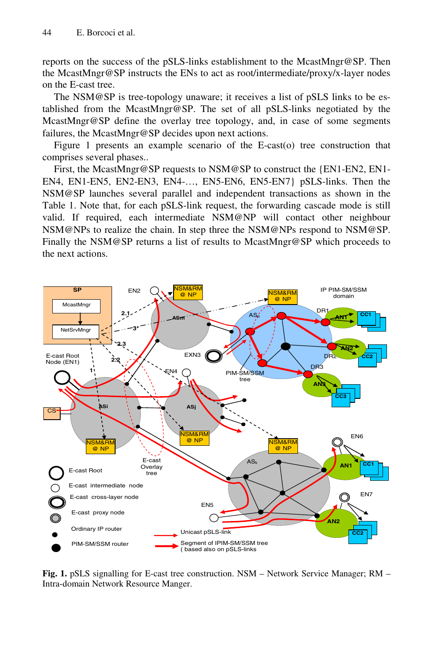reports on the success of the pSLS-links establishment to the McastMngr@SP. Then the McastMngr@SP instructs the ENs to act as root/intermediate/proxy/x-layer nodes on the E-cast tree.

The NSM@SP is tree-topology unaware; it receives a list of pSLS links to be established from the McastMngr@SP. The set of all pSLS-links negotiated by the McastMngr@SP define the overlay tree topology, and, in case of some segments failures, the McastMngr@SP decides upon next actions.

Figure 1 presents an example scenario of the E-cast(o) tree construction that comprises several phases..

First, the McastMngr@SP requests to NSM@SP to construct the {EN1-EN2, EN1- EN4, EN1-EN5, EN2-EN3, EN4-…, EN5-EN6, EN5-EN7} pSLS-links. Then the NSM@SP launches several parallel and independent transactions as shown in the Table 1. Note that, for each pSLS-link request, the forwarding cascade mode is still valid. If required, each intermediate NSM@NP will contact other neighbour NSM@NPs to realize the chain. In step three the NSM@NPs respond to NSM@SP. Finally the NSM@SP returns a list of results to McastMngr@SP which proceeds to the next actions.



**Fig. 1.** pSLS signalling for E-cast tree construction. NSM – Network Service Manager; RM – Intra-domain Network Resource Manger.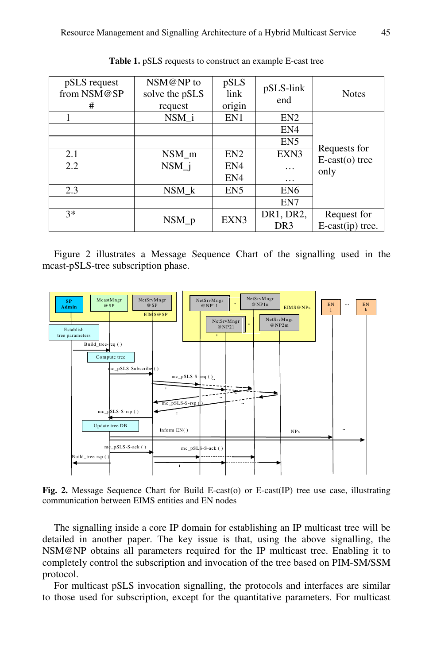| pSLS request<br>from NSM@SP<br># | NSM@NP to<br>solve the pSLS<br>request | pSLS<br>link<br>origin | pSLS-link<br>end             | <b>Notes</b>                                    |
|----------------------------------|----------------------------------------|------------------------|------------------------------|-------------------------------------------------|
|                                  | NSM i                                  | EN1                    | EN2                          |                                                 |
|                                  |                                        |                        | EN4                          |                                                 |
|                                  |                                        |                        | EN <sub>5</sub>              | Requests for<br>$E\text{-}cast(o)$ tree<br>only |
| 2.1                              | $NSM_m$                                | EN <sub>2</sub>        | EXN <sub>3</sub>             |                                                 |
| 2.2                              | NSM j                                  | EN4                    | $\cdots$                     |                                                 |
|                                  |                                        | EN4                    | .                            |                                                 |
| 2.3                              | NSM k                                  | EN <sub>5</sub>        | EN <sub>6</sub>              |                                                 |
|                                  |                                        |                        | EN7                          |                                                 |
| $3*$                             | $NSM_p$                                | EXN <sub>3</sub>       | DR1, DR2,<br>DR <sub>3</sub> | Request for<br>$E$ -cast $(ip)$ tree.           |

**Table 1.** pSLS requests to construct an example E-cast tree

Figure 2 illustrates a Message Sequence Chart of the signalling used in the mcast-pSLS-tree subscription phase.



Fig. 2. Message Sequence Chart for Build E-cast(0) or E-cast(IP) tree use case, illustrating communication between EIMS entities and EN nodes

The signalling inside a core IP domain for establishing an IP multicast tree will be detailed in another paper. The key issue is that, using the above signalling, the NSM@NP obtains all parameters required for the IP multicast tree. Enabling it to completely control the subscription and invocation of the tree based on PIM-SM/SSM protocol.

For multicast pSLS invocation signalling, the protocols and interfaces are similar to those used for subscription, except for the quantitative parameters. For multicast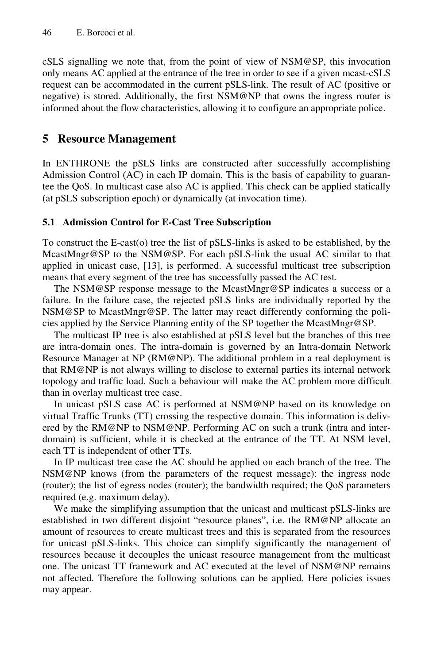cSLS signalling we note that, from the point of view of NSM@SP, this invocation only means AC applied at the entrance of the tree in order to see if a given mcast-cSLS request can be accommodated in the current pSLS-link. The result of AC (positive or negative) is stored. Additionally, the first NSM@NP that owns the ingress router is informed about the flow characteristics, allowing it to configure an appropriate police.

## **5 Resource Management**

In ENTHRONE the pSLS links are constructed after successfully accomplishing Admission Control (AC) in each IP domain. This is the basis of capability to guarantee the QoS. In multicast case also AC is applied. This check can be applied statically (at pSLS subscription epoch) or dynamically (at invocation time).

## **5.1 Admission Control for E-Cast Tree Subscription**

To construct the E-cast(o) tree the list of pSLS-links is asked to be established, by the McastMngr@SP to the NSM@SP. For each pSLS-link the usual AC similar to that applied in unicast case, [13], is performed. A successful multicast tree subscription means that every segment of the tree has successfully passed the AC test.

The NSM@SP response message to the McastMngr@SP indicates a success or a failure. In the failure case, the rejected pSLS links are individually reported by the NSM@SP to McastMngr@SP. The latter may react differently conforming the policies applied by the Service Planning entity of the SP together the McastMngr@SP.

The multicast IP tree is also established at pSLS level but the branches of this tree are intra-domain ones. The intra-domain is governed by an Intra-domain Network Resource Manager at NP (RM@NP). The additional problem in a real deployment is that RM@NP is not always willing to disclose to external parties its internal network topology and traffic load. Such a behaviour will make the AC problem more difficult than in overlay multicast tree case.

In unicast pSLS case AC is performed at NSM@NP based on its knowledge on virtual Traffic Trunks (TT) crossing the respective domain. This information is delivered by the RM@NP to NSM@NP. Performing AC on such a trunk (intra and interdomain) is sufficient, while it is checked at the entrance of the TT. At NSM level, each TT is independent of other TTs.

In IP multicast tree case the AC should be applied on each branch of the tree. The NSM@NP knows (from the parameters of the request message): the ingress node (router); the list of egress nodes (router); the bandwidth required; the QoS parameters required (e.g. maximum delay).

We make the simplifying assumption that the unicast and multicast pSLS-links are established in two different disjoint "resource planes", i.e. the RM@NP allocate an amount of resources to create multicast trees and this is separated from the resources for unicast pSLS-links. This choice can simplify significantly the management of resources because it decouples the unicast resource management from the multicast one. The unicast TT framework and AC executed at the level of NSM@NP remains not affected. Therefore the following solutions can be applied. Here policies issues may appear.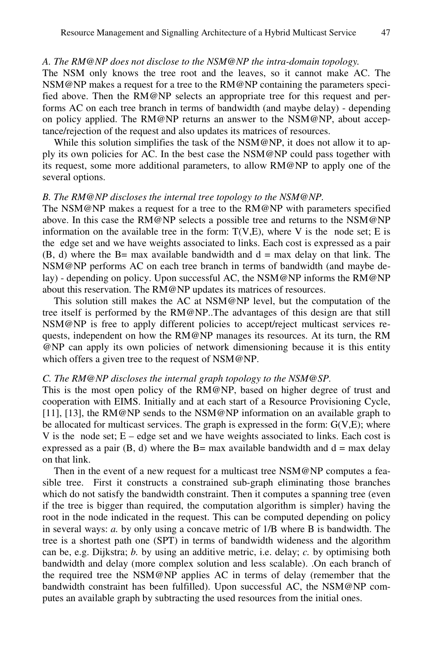#### *A. The RM@NP does not disclose to the NSM@NP the intra-domain topology.*

The NSM only knows the tree root and the leaves, so it cannot make AC. The NSM@NP makes a request for a tree to the RM@NP containing the parameters specified above. Then the RM@NP selects an appropriate tree for this request and performs AC on each tree branch in terms of bandwidth (and maybe delay) - depending on policy applied. The RM@NP returns an answer to the NSM@NP, about acceptance/rejection of the request and also updates its matrices of resources.

While this solution simplifies the task of the NSM@NP, it does not allow it to apply its own policies for AC. In the best case the NSM@NP could pass together with its request, some more additional parameters, to allow RM@NP to apply one of the several options.

### *B. The RM@NP discloses the internal tree topology to the NSM@NP.*

The NSM@NP makes a request for a tree to the RM@NP with parameters specified above. In this case the RM@NP selects a possible tree and returns to the NSM@NP information on the available tree in the form:  $T(V,E)$ , where V is the node set; E is the edge set and we have weights associated to links. Each cost is expressed as a pair  $(B, d)$  where the B= max available bandwidth and  $d = max$  delay on that link. The NSM@NP performs AC on each tree branch in terms of bandwidth (and maybe delay) - depending on policy. Upon successful AC, the NSM@NP informs the RM@NP about this reservation. The RM@NP updates its matrices of resources.

This solution still makes the AC at NSM@NP level, but the computation of the tree itself is performed by the RM@NP..The advantages of this design are that still NSM@NP is free to apply different policies to accept/reject multicast services requests, independent on how the RM@NP manages its resources. At its turn, the RM @NP can apply its own policies of network dimensioning because it is this entity which offers a given tree to the request of NSM@NP.

#### *C. The RM@NP discloses the internal graph topology to the NSM@SP.*

This is the most open policy of the RM@NP, based on higher degree of trust and cooperation with EIMS. Initially and at each start of a Resource Provisioning Cycle, [11], [13], the RM@NP sends to the NSM@NP information on an available graph to be allocated for multicast services. The graph is expressed in the form:  $G(V,E)$ ; where V is the node set;  $E - edge$  set and we have weights associated to links. Each cost is expressed as a pair  $(B, d)$  where the B= max available bandwidth and  $d = max$  delay on that link.

Then in the event of a new request for a multicast tree NSM@NP computes a feasible tree. First it constructs a constrained sub-graph eliminating those branches which do not satisfy the bandwidth constraint. Then it computes a spanning tree (even if the tree is bigger than required, the computation algorithm is simpler) having the root in the node indicated in the request. This can be computed depending on policy in several ways: *a.* by only using a concave metric of 1/B where B is bandwidth. The tree is a shortest path one (SPT) in terms of bandwidth wideness and the algorithm can be, e.g. Dijkstra; *b.* by using an additive metric, i.e. delay; *c.* by optimising both bandwidth and delay (more complex solution and less scalable). .On each branch of the required tree the NSM@NP applies AC in terms of delay (remember that the bandwidth constraint has been fulfilled). Upon successful AC, the NSM@NP computes an available graph by subtracting the used resources from the initial ones.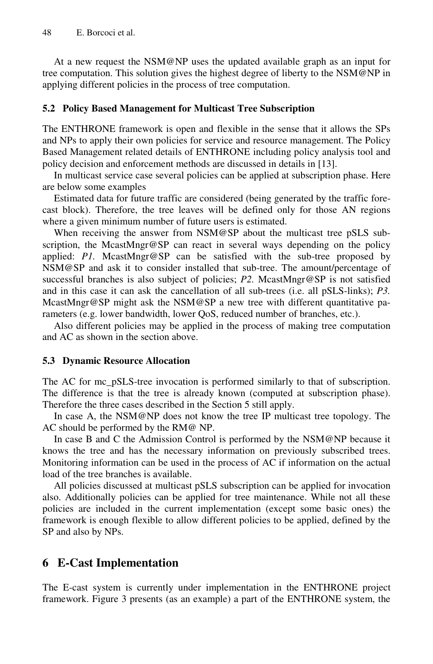At a new request the NSM@NP uses the updated available graph as an input for tree computation. This solution gives the highest degree of liberty to the NSM@NP in applying different policies in the process of tree computation.

### **5.2 Policy Based Management for Multicast Tree Subscription**

The ENTHRONE framework is open and flexible in the sense that it allows the SPs and NPs to apply their own policies for service and resource management. The Policy Based Management related details of ENTHRONE including policy analysis tool and policy decision and enforcement methods are discussed in details in [13].

In multicast service case several policies can be applied at subscription phase. Here are below some examples

Estimated data for future traffic are considered (being generated by the traffic forecast block). Therefore, the tree leaves will be defined only for those AN regions where a given minimum number of future users is estimated.

When receiving the answer from NSM@SP about the multicast tree pSLS subscription, the McastMngr@SP can react in several ways depending on the policy applied: P1. McastMngr@SP can be satisfied with the sub-tree proposed by NSM@SP and ask it to consider installed that sub-tree. The amount/percentage of successful branches is also subject of policies; *P2.* McastMngr@SP is not satisfied and in this case it can ask the cancellation of all sub-trees (i.e. all pSLS-links); *P3.*  McastMngr@SP might ask the NSM@SP a new tree with different quantitative parameters (e.g. lower bandwidth, lower QoS, reduced number of branches, etc.).

Also different policies may be applied in the process of making tree computation and AC as shown in the section above.

### **5.3 Dynamic Resource Allocation**

The AC for mc pSLS-tree invocation is performed similarly to that of subscription. The difference is that the tree is already known (computed at subscription phase). Therefore the three cases described in the Section 5 still apply.

In case A, the NSM@NP does not know the tree IP multicast tree topology. The AC should be performed by the RM@ NP.

In case B and C the Admission Control is performed by the NSM@NP because it knows the tree and has the necessary information on previously subscribed trees. Monitoring information can be used in the process of AC if information on the actual load of the tree branches is available.

All policies discussed at multicast pSLS subscription can be applied for invocation also. Additionally policies can be applied for tree maintenance. While not all these policies are included in the current implementation (except some basic ones) the framework is enough flexible to allow different policies to be applied, defined by the SP and also by NPs.

## **6 E-Cast Implementation**

The E-cast system is currently under implementation in the ENTHRONE project framework. Figure 3 presents (as an example) a part of the ENTHRONE system, the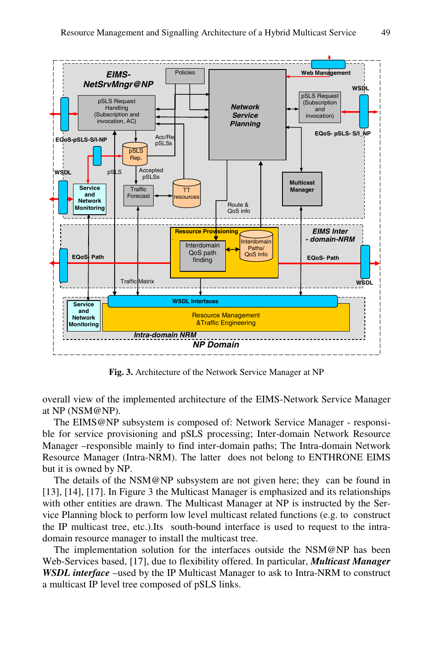

**Fig. 3.** Architecture of the Network Service Manager at NP

overall view of the implemented architecture of the EIMS-Network Service Manager at NP (NSM@NP).

The EIMS@NP subsystem is composed of: Network Service Manager - responsible for service provisioning and pSLS processing; Inter-domain Network Resource Manager –responsible mainly to find inter-domain paths; The Intra-domain Network Resource Manager (Intra-NRM). The latter does not belong to ENTHRONE EIMS but it is owned by NP.

The details of the NSM@NP subsystem are not given here; they can be found in [13], [14], [17]. In Figure 3 the Multicast Manager is emphasized and its relationships with other entities are drawn. The Multicast Manager at NP is instructed by the Service Planning block to perform low level multicast related functions (e.g. to construct the IP multicast tree, etc.).Its south-bound interface is used to request to the intradomain resource manager to install the multicast tree.

The implementation solution for the interfaces outside the NSM@NP has been Web-Services based, [17], due to flexibility offered. In particular, *Multicast Manager WSDL interface* –used by the IP Multicast Manager to ask to Intra-NRM to construct a multicast IP level tree composed of pSLS links.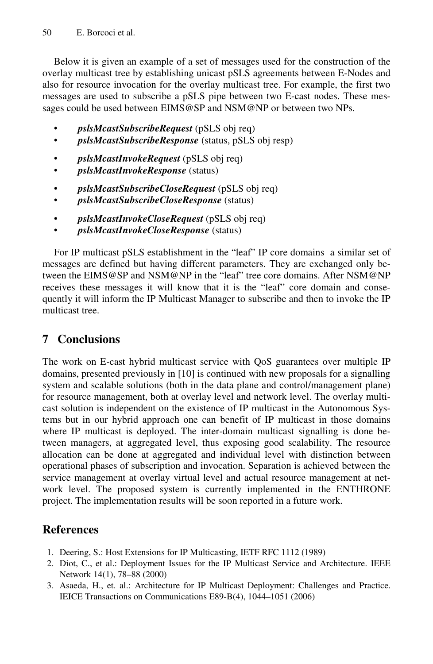Below it is given an example of a set of messages used for the construction of the overlay multicast tree by establishing unicast pSLS agreements between E-Nodes and also for resource invocation for the overlay multicast tree. For example, the first two messages are used to subscribe a pSLS pipe between two E-cast nodes. These messages could be used between EIMS@SP and NSM@NP or between two NPs.

- *pslsMcastSubscribeRequest* (pSLS obj req)
- *pslsMcastSubscribeResponse* (status, pSLS obj resp)
- *pslsMcastInvokeRequest* (pSLS obj req)
- *pslsMcastInvokeResponse* (status)
- *pslsMcastSubscribeCloseRequest* (pSLS obj req)
- *pslsMcastSubscribeCloseResponse* (status)
- *pslsMcastInvokeCloseRequest* (pSLS obj req)
- *pslsMcastInvokeCloseResponse* (status)

For IP multicast pSLS establishment in the "leaf" IP core domains a similar set of messages are defined but having different parameters. They are exchanged only between the EIMS@SP and NSM@NP in the "leaf" tree core domains. After NSM@NP receives these messages it will know that it is the "leaf" core domain and consequently it will inform the IP Multicast Manager to subscribe and then to invoke the IP multicast tree.

# **7 Conclusions**

The work on E-cast hybrid multicast service with QoS guarantees over multiple IP domains, presented previously in [10] is continued with new proposals for a signalling system and scalable solutions (both in the data plane and control/management plane) for resource management, both at overlay level and network level. The overlay multicast solution is independent on the existence of IP multicast in the Autonomous Systems but in our hybrid approach one can benefit of IP multicast in those domains where IP multicast is deployed. The inter-domain multicast signalling is done between managers, at aggregated level, thus exposing good scalability. The resource allocation can be done at aggregated and individual level with distinction between operational phases of subscription and invocation. Separation is achieved between the service management at overlay virtual level and actual resource management at network level. The proposed system is currently implemented in the ENTHRONE project. The implementation results will be soon reported in a future work.

## **References**

- 1. Deering, S.: Host Extensions for IP Multicasting, IETF RFC 1112 (1989)
- 2. Diot, C., et al.: Deployment Issues for the IP Multicast Service and Architecture. IEEE Network 14(1), 78–88 (2000)
- 3. Asaeda, H., et. al.: Architecture for IP Multicast Deployment: Challenges and Practice. IEICE Transactions on Communications E89-B(4), 1044–1051 (2006)